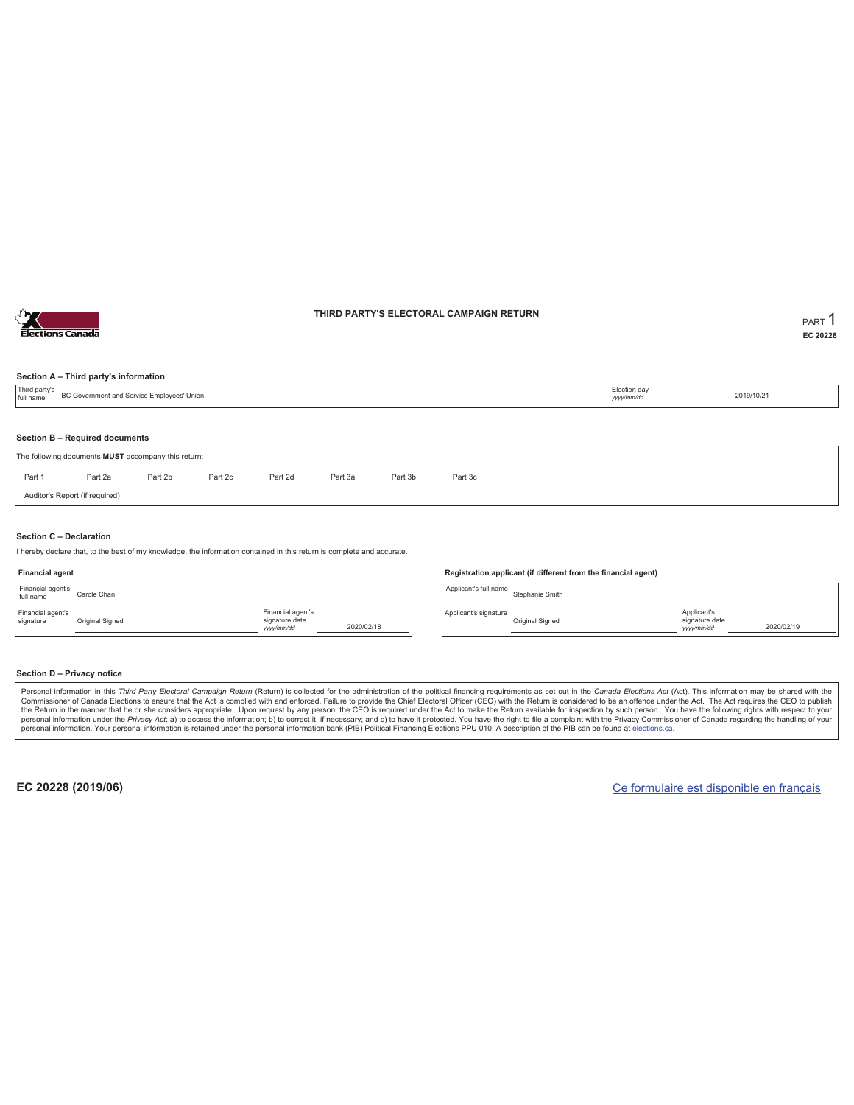

### **THIRD PARTY'S ELECTORAL CAMPAIGN RETURN PART** 1

**EC 20228**

### **Section A – Third party's information**

| Third party's<br>full name | Election day<br>BC Government and Service Employees' Union<br>yyyy/mm/dd              |         |         |         |         |         |         |  |  | 2019/10/21 |  |  |
|----------------------------|---------------------------------------------------------------------------------------|---------|---------|---------|---------|---------|---------|--|--|------------|--|--|
|                            |                                                                                       |         |         |         |         |         |         |  |  |            |  |  |
|                            | Section B - Required documents<br>The following documents MUST accompany this return: |         |         |         |         |         |         |  |  |            |  |  |
| Part 1                     | Part 2a                                                                               | Part 2b | Part 2c | Part 2d | Part 3a | Part 3b | Part 3c |  |  |            |  |  |
|                            | Auditor's Report (if required)                                                        |         |         |         |         |         |         |  |  |            |  |  |

#### **Section C – Declaration**

I hereby declare that, to the best of my knowledge, the information contained in this return is complete and accurate.

#### **Financial agent**

| Financial agent's<br>full name | Carole Chan     |                                                  |            |
|--------------------------------|-----------------|--------------------------------------------------|------------|
| Financial agent's<br>signature | Original Signed | Financial agent's<br>signature date<br>yyy/mm/dd | 2020/02/18 |

#### **Registration applicant (if different from the financial agent)**

Applicant's full name<br>Stephanie Smith Applicant's signature Original Signed Applicant's signature date *yyyy/mm/dd* 2020/02/19

### **Section D – Privacy notice**

Personal information in this Third Party Electoral Campaign Return (Return) is collected for the administration of the political financing requirements as set out in the Canada Elections Act (Act). This information may be Commissioner of Canada Elections to ensure that the Act is complied with and enforced. Failure to provide the Chief Electoral Officer (CEO) with the Return is considered to be an offence under the Act. The Act requires the personal information. Your personal information is retained under the personal information bank (PIB) Political Financing Elections PPU 010. A description of the PIB can be found at elections.ca.

**EC 20228 (2019/06)** Ce formulaire est disponible en français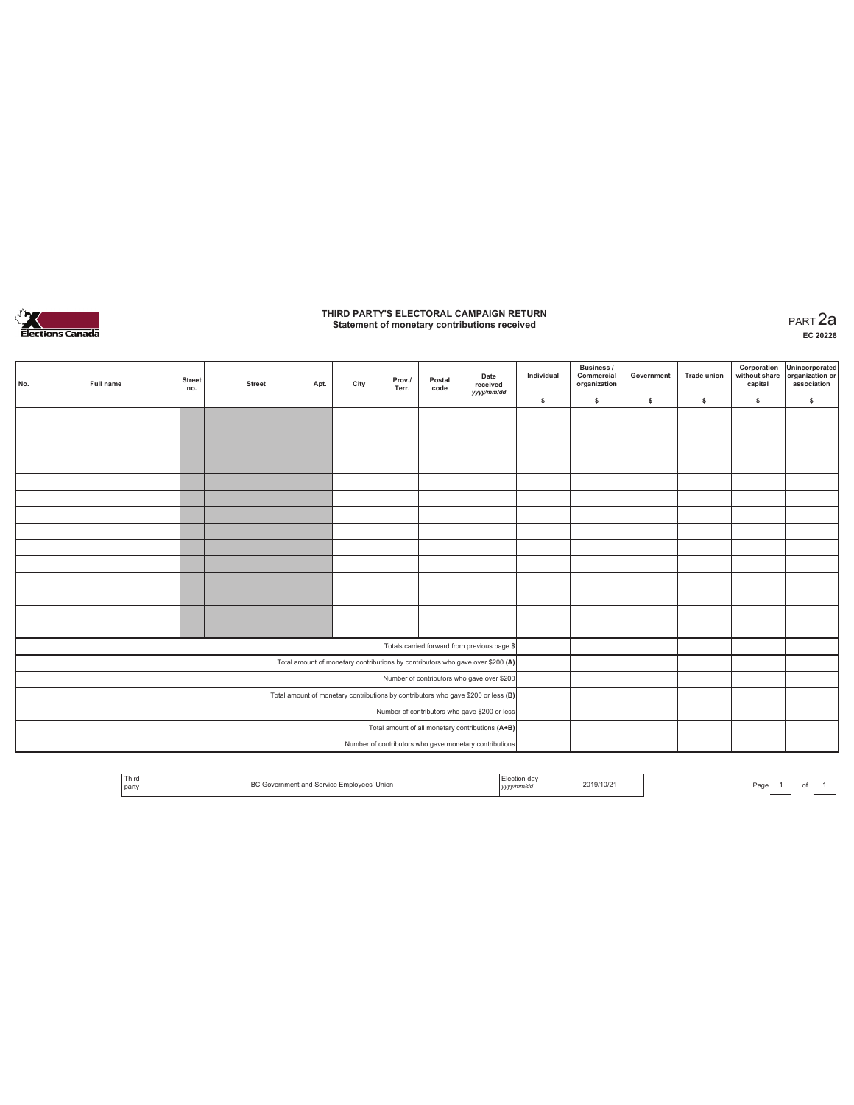

## **THIRD PARTY'S ELECTORAL CAMPAIGN RETURN Statement of monetary contributions received** PART 2a

| No.                                                                               |  | Full name | <b>Street</b><br>no. | <b>Street</b> | Apt. | City | Prov./<br>Terr. | Postal<br>code | Date<br>received<br>yyyy/mm/dd                                                 | Individual | <b>Business /</b><br>Commercial<br>organization | Government | <b>Trade union</b> | Corporation<br>capital | Unincorporated<br>without share organization or<br>association |
|-----------------------------------------------------------------------------------|--|-----------|----------------------|---------------|------|------|-----------------|----------------|--------------------------------------------------------------------------------|------------|-------------------------------------------------|------------|--------------------|------------------------|----------------------------------------------------------------|
|                                                                                   |  |           |                      |               |      |      |                 |                |                                                                                | \$         | \$                                              | \$         | \$                 | \$                     | \$                                                             |
|                                                                                   |  |           |                      |               |      |      |                 |                |                                                                                |            |                                                 |            |                    |                        |                                                                |
|                                                                                   |  |           |                      |               |      |      |                 |                |                                                                                |            |                                                 |            |                    |                        |                                                                |
|                                                                                   |  |           |                      |               |      |      |                 |                |                                                                                |            |                                                 |            |                    |                        |                                                                |
|                                                                                   |  |           |                      |               |      |      |                 |                |                                                                                |            |                                                 |            |                    |                        |                                                                |
|                                                                                   |  |           |                      |               |      |      |                 |                |                                                                                |            |                                                 |            |                    |                        |                                                                |
|                                                                                   |  |           |                      |               |      |      |                 |                |                                                                                |            |                                                 |            |                    |                        |                                                                |
|                                                                                   |  |           |                      |               |      |      |                 |                |                                                                                |            |                                                 |            |                    |                        |                                                                |
|                                                                                   |  |           |                      |               |      |      |                 |                |                                                                                |            |                                                 |            |                    |                        |                                                                |
|                                                                                   |  |           |                      |               |      |      |                 |                |                                                                                |            |                                                 |            |                    |                        |                                                                |
|                                                                                   |  |           |                      |               |      |      |                 |                |                                                                                |            |                                                 |            |                    |                        |                                                                |
|                                                                                   |  |           |                      |               |      |      |                 |                |                                                                                |            |                                                 |            |                    |                        |                                                                |
|                                                                                   |  |           |                      |               |      |      |                 |                |                                                                                |            |                                                 |            |                    |                        |                                                                |
|                                                                                   |  |           |                      |               |      |      |                 |                |                                                                                |            |                                                 |            |                    |                        |                                                                |
|                                                                                   |  |           |                      |               |      |      |                 |                |                                                                                |            |                                                 |            |                    |                        |                                                                |
|                                                                                   |  |           |                      |               |      |      |                 |                | Totals carried forward from previous page \$                                   |            |                                                 |            |                    |                        |                                                                |
|                                                                                   |  |           |                      |               |      |      |                 |                | Total amount of monetary contributions by contributors who gave over \$200 (A) |            |                                                 |            |                    |                        |                                                                |
|                                                                                   |  |           |                      |               |      |      |                 |                | Number of contributors who gave over \$200                                     |            |                                                 |            |                    |                        |                                                                |
| Total amount of monetary contributions by contributors who gave \$200 or less (B) |  |           |                      |               |      |      |                 |                |                                                                                |            |                                                 |            |                    |                        |                                                                |
| Number of contributors who gave \$200 or less                                     |  |           |                      |               |      |      |                 |                |                                                                                |            |                                                 |            |                    |                        |                                                                |
| Total amount of all monetary contributions (A+B)                                  |  |           |                      |               |      |      |                 |                |                                                                                |            |                                                 |            |                    |                        |                                                                |
|                                                                                   |  |           |                      |               |      |      |                 |                | Number of contributors who gave monetary contributions                         |            |                                                 |            |                    |                        |                                                                |

|  | <sup>1</sup> Thiro<br>l party | n c<br>s' Unior<br>$-mi$<br>NOVEES<br>$-119.17 - 12.7$<br>. | $ $ yyyy | 2019/10/21 | Page |  |  |  |  |
|--|-------------------------------|-------------------------------------------------------------|----------|------------|------|--|--|--|--|
|--|-------------------------------|-------------------------------------------------------------|----------|------------|------|--|--|--|--|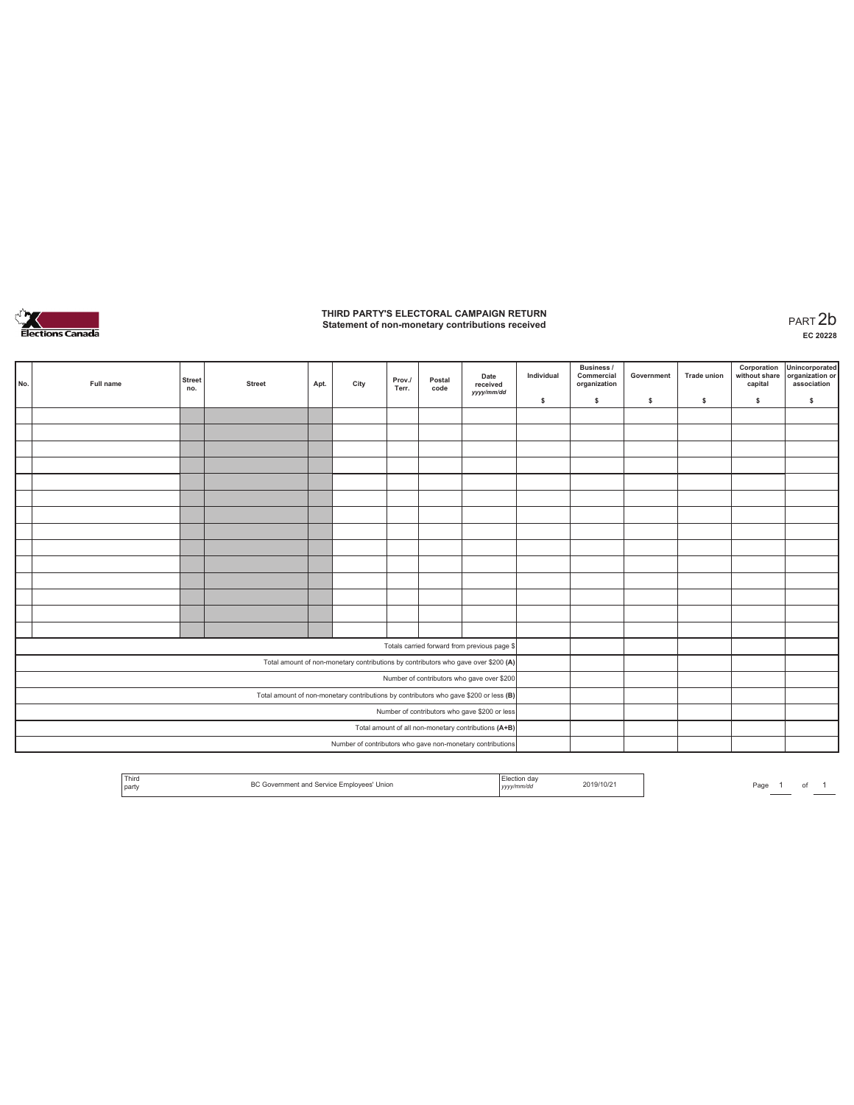

# **THIRD PARTY'S ELECTORAL CAMPAIGN RETURN Statement of non-monetary contributions received** PART 2b

| No.                                           | Full name                                                                             | <b>Street</b><br>no. | <b>Street</b> | Apt. | City | Prov./<br>Terr. | Postal<br>code | Date<br>received<br>yyyy/mm/dd                                                     | Individual | <b>Business /</b><br>Commercial<br>organization | Government | <b>Trade union</b> | Corporation<br>without share<br>capital | Unincorporated<br>organization or<br>association |
|-----------------------------------------------|---------------------------------------------------------------------------------------|----------------------|---------------|------|------|-----------------|----------------|------------------------------------------------------------------------------------|------------|-------------------------------------------------|------------|--------------------|-----------------------------------------|--------------------------------------------------|
|                                               |                                                                                       |                      |               |      |      |                 |                |                                                                                    | \$         | $\mathbb S$                                     | \$.        | \$                 | \$                                      | \$                                               |
|                                               |                                                                                       |                      |               |      |      |                 |                |                                                                                    |            |                                                 |            |                    |                                         |                                                  |
|                                               |                                                                                       |                      |               |      |      |                 |                |                                                                                    |            |                                                 |            |                    |                                         |                                                  |
|                                               |                                                                                       |                      |               |      |      |                 |                |                                                                                    |            |                                                 |            |                    |                                         |                                                  |
|                                               |                                                                                       |                      |               |      |      |                 |                |                                                                                    |            |                                                 |            |                    |                                         |                                                  |
|                                               |                                                                                       |                      |               |      |      |                 |                |                                                                                    |            |                                                 |            |                    |                                         |                                                  |
|                                               |                                                                                       |                      |               |      |      |                 |                |                                                                                    |            |                                                 |            |                    |                                         |                                                  |
|                                               |                                                                                       |                      |               |      |      |                 |                |                                                                                    |            |                                                 |            |                    |                                         |                                                  |
|                                               |                                                                                       |                      |               |      |      |                 |                |                                                                                    |            |                                                 |            |                    |                                         |                                                  |
|                                               |                                                                                       |                      |               |      |      |                 |                |                                                                                    |            |                                                 |            |                    |                                         |                                                  |
|                                               |                                                                                       |                      |               |      |      |                 |                |                                                                                    |            |                                                 |            |                    |                                         |                                                  |
|                                               |                                                                                       |                      |               |      |      |                 |                |                                                                                    |            |                                                 |            |                    |                                         |                                                  |
|                                               |                                                                                       |                      |               |      |      |                 |                |                                                                                    |            |                                                 |            |                    |                                         |                                                  |
|                                               |                                                                                       |                      |               |      |      |                 |                |                                                                                    |            |                                                 |            |                    |                                         |                                                  |
|                                               |                                                                                       |                      |               |      |      |                 |                |                                                                                    |            |                                                 |            |                    |                                         |                                                  |
|                                               |                                                                                       |                      |               |      |      |                 |                | Totals carried forward from previous page \$                                       |            |                                                 |            |                    |                                         |                                                  |
|                                               |                                                                                       |                      |               |      |      |                 |                | Total amount of non-monetary contributions by contributors who gave over \$200 (A) |            |                                                 |            |                    |                                         |                                                  |
|                                               |                                                                                       |                      |               |      |      |                 |                | Number of contributors who gave over \$200                                         |            |                                                 |            |                    |                                         |                                                  |
|                                               | Total amount of non-monetary contributions by contributors who gave \$200 or less (B) |                      |               |      |      |                 |                |                                                                                    |            |                                                 |            |                    |                                         |                                                  |
| Number of contributors who gave \$200 or less |                                                                                       |                      |               |      |      |                 |                |                                                                                    |            |                                                 |            |                    |                                         |                                                  |
|                                               |                                                                                       |                      |               |      |      |                 |                | Total amount of all non-monetary contributions (A+B)                               |            |                                                 |            |                    |                                         |                                                  |
|                                               |                                                                                       |                      |               |      |      |                 |                | Number of contributors who gave non-monetary contributions                         |            |                                                 |            |                    |                                         |                                                  |

|  | <sup>1</sup> Third<br>' party | DC <sup></sup><br>Unior<br>™™<br>. | aa<br><i>,,,,</i> | 11 (37 * |  | Pac |  |  |  |
|--|-------------------------------|------------------------------------|-------------------|----------|--|-----|--|--|--|
|--|-------------------------------|------------------------------------|-------------------|----------|--|-----|--|--|--|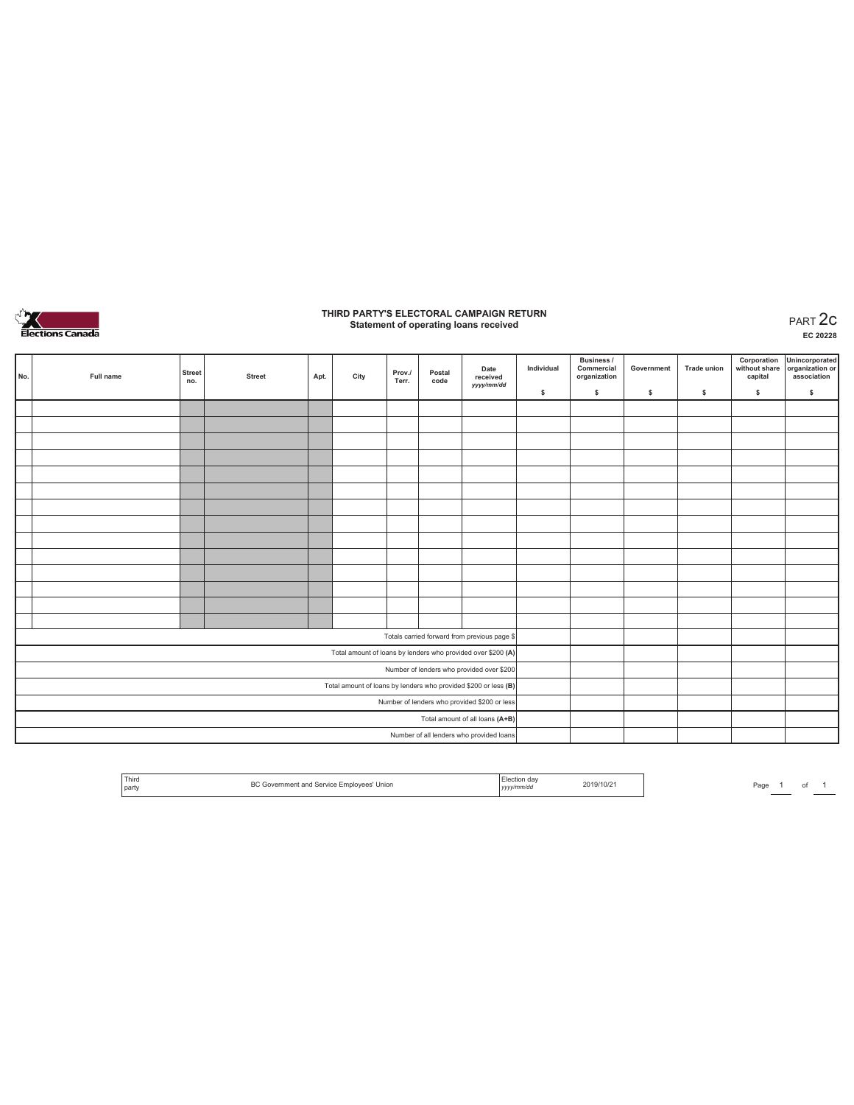

## **THIRD PARTY'S ELECTORAL CAMPAIGN RETURN Statement of operating loans received** PART 2c

**EC 20228**

| No.                                          | Full name | <b>Street</b><br>no. | <b>Street</b> | Apt. | City | Prov./<br>Terr. | Postal<br>code | Date<br>received<br>yyyy/mm/dd                                  | Individual | <b>Business /</b><br>Commercial<br>organization | Government | <b>Trade union</b> | Corporation<br>without share<br>capital | Unincorporated<br>organization or<br>association |
|----------------------------------------------|-----------|----------------------|---------------|------|------|-----------------|----------------|-----------------------------------------------------------------|------------|-------------------------------------------------|------------|--------------------|-----------------------------------------|--------------------------------------------------|
|                                              |           |                      |               |      |      |                 |                |                                                                 | \$         | \$.                                             | \$         | s                  | \$                                      | $\mathbb S$                                      |
|                                              |           |                      |               |      |      |                 |                |                                                                 |            |                                                 |            |                    |                                         |                                                  |
|                                              |           |                      |               |      |      |                 |                |                                                                 |            |                                                 |            |                    |                                         |                                                  |
|                                              |           |                      |               |      |      |                 |                |                                                                 |            |                                                 |            |                    |                                         |                                                  |
|                                              |           |                      |               |      |      |                 |                |                                                                 |            |                                                 |            |                    |                                         |                                                  |
|                                              |           |                      |               |      |      |                 |                |                                                                 |            |                                                 |            |                    |                                         |                                                  |
|                                              |           |                      |               |      |      |                 |                |                                                                 |            |                                                 |            |                    |                                         |                                                  |
|                                              |           |                      |               |      |      |                 |                |                                                                 |            |                                                 |            |                    |                                         |                                                  |
|                                              |           |                      |               |      |      |                 |                |                                                                 |            |                                                 |            |                    |                                         |                                                  |
|                                              |           |                      |               |      |      |                 |                |                                                                 |            |                                                 |            |                    |                                         |                                                  |
|                                              |           |                      |               |      |      |                 |                |                                                                 |            |                                                 |            |                    |                                         |                                                  |
|                                              |           |                      |               |      |      |                 |                |                                                                 |            |                                                 |            |                    |                                         |                                                  |
|                                              |           |                      |               |      |      |                 |                |                                                                 |            |                                                 |            |                    |                                         |                                                  |
|                                              |           |                      |               |      |      |                 |                |                                                                 |            |                                                 |            |                    |                                         |                                                  |
|                                              |           |                      |               |      |      |                 |                |                                                                 |            |                                                 |            |                    |                                         |                                                  |
|                                              |           |                      |               |      |      |                 |                | Totals carried forward from previous page \$                    |            |                                                 |            |                    |                                         |                                                  |
|                                              |           |                      |               |      |      |                 |                | Total amount of loans by lenders who provided over \$200 (A)    |            |                                                 |            |                    |                                         |                                                  |
|                                              |           |                      |               |      |      |                 |                | Number of lenders who provided over \$200                       |            |                                                 |            |                    |                                         |                                                  |
|                                              |           |                      |               |      |      |                 |                | Total amount of loans by lenders who provided \$200 or less (B) |            |                                                 |            |                    |                                         |                                                  |
| Number of lenders who provided \$200 or less |           |                      |               |      |      |                 |                |                                                                 |            |                                                 |            |                    |                                         |                                                  |
|                                              |           |                      |               |      |      |                 |                | Total amount of all loans (A+B)                                 |            |                                                 |            |                    |                                         |                                                  |
|                                              |           |                      |               |      |      |                 |                | Number of all lenders who provided loans                        |            |                                                 |            |                    |                                         |                                                  |

| <sup>1</sup> Third<br>d Service Emplovees' Union<br>ernment and<br>I party | .tion day<br>yyyy/mm/dd | .<br>2019/10/2 <sup>.</sup><br>the contract of the contract of |  |
|----------------------------------------------------------------------------|-------------------------|----------------------------------------------------------------|--|
|----------------------------------------------------------------------------|-------------------------|----------------------------------------------------------------|--|

Page  $1$  of  $1$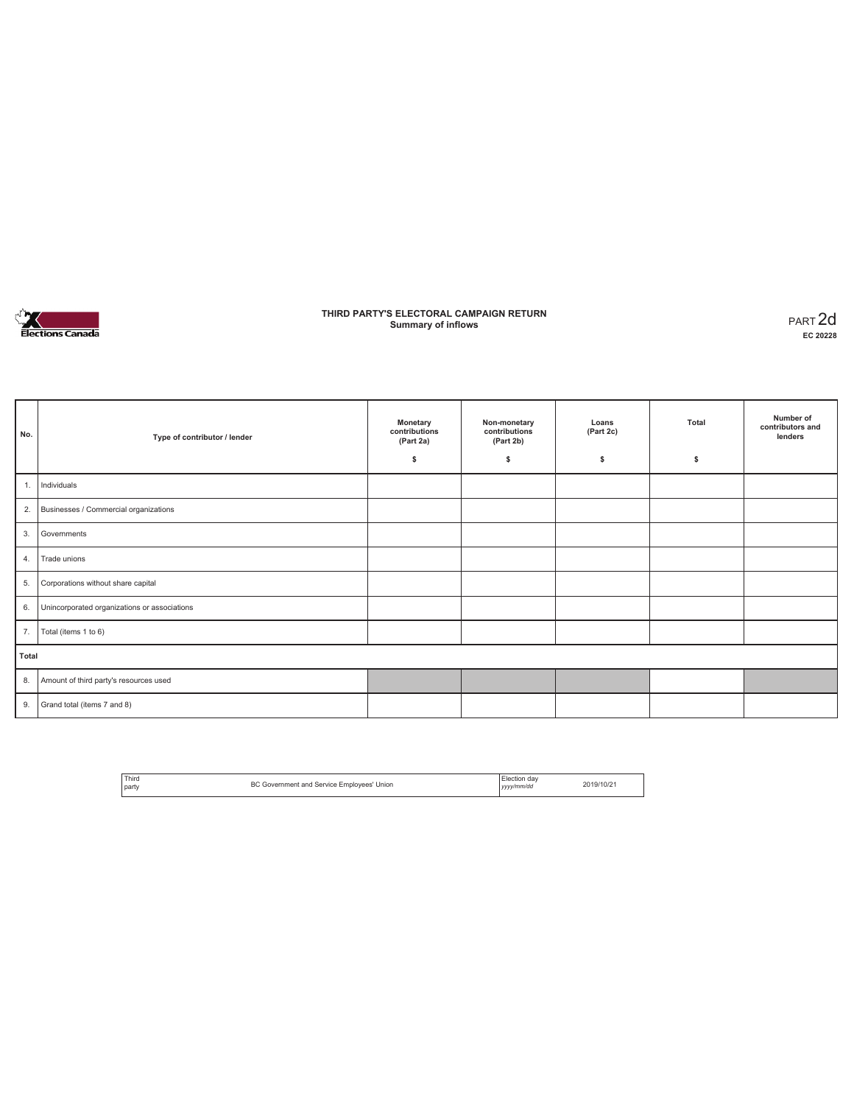

### **THIRD PARTY'S ELECTORAL CAMPAIGN RETURN Summary of inflows** PART 2d

| No.   | Type of contributor / lender                 | Monetary<br>contributions<br>(Part 2a)<br>\$ | Non-monetary<br>contributions<br>(Part 2b)<br>\$ | Loans<br>(Part 2c)<br>s | Total<br>\$ | Number of<br>contributors and<br>lenders |
|-------|----------------------------------------------|----------------------------------------------|--------------------------------------------------|-------------------------|-------------|------------------------------------------|
| 1.    | Individuals                                  |                                              |                                                  |                         |             |                                          |
| 2.    | Businesses / Commercial organizations        |                                              |                                                  |                         |             |                                          |
| 3.    | Governments                                  |                                              |                                                  |                         |             |                                          |
| 4.    | Trade unions                                 |                                              |                                                  |                         |             |                                          |
| 5.    | Corporations without share capital           |                                              |                                                  |                         |             |                                          |
| 6.    | Unincorporated organizations or associations |                                              |                                                  |                         |             |                                          |
| 7.    | Total (items 1 to 6)                         |                                              |                                                  |                         |             |                                          |
| Total |                                              |                                              |                                                  |                         |             |                                          |
| 8.    | Amount of third party's resources used       |                                              |                                                  |                         |             |                                          |
| 9.    | Grand total (items 7 and 8)                  |                                              |                                                  |                         |             |                                          |

| Third        | Government and Service Employees' Union | Flection day | 2019/10/2 |
|--------------|-----------------------------------------|--------------|-----------|
| <b>Darty</b> | ے ت                                     | yyyy/mm/dd   |           |
|              |                                         |              |           |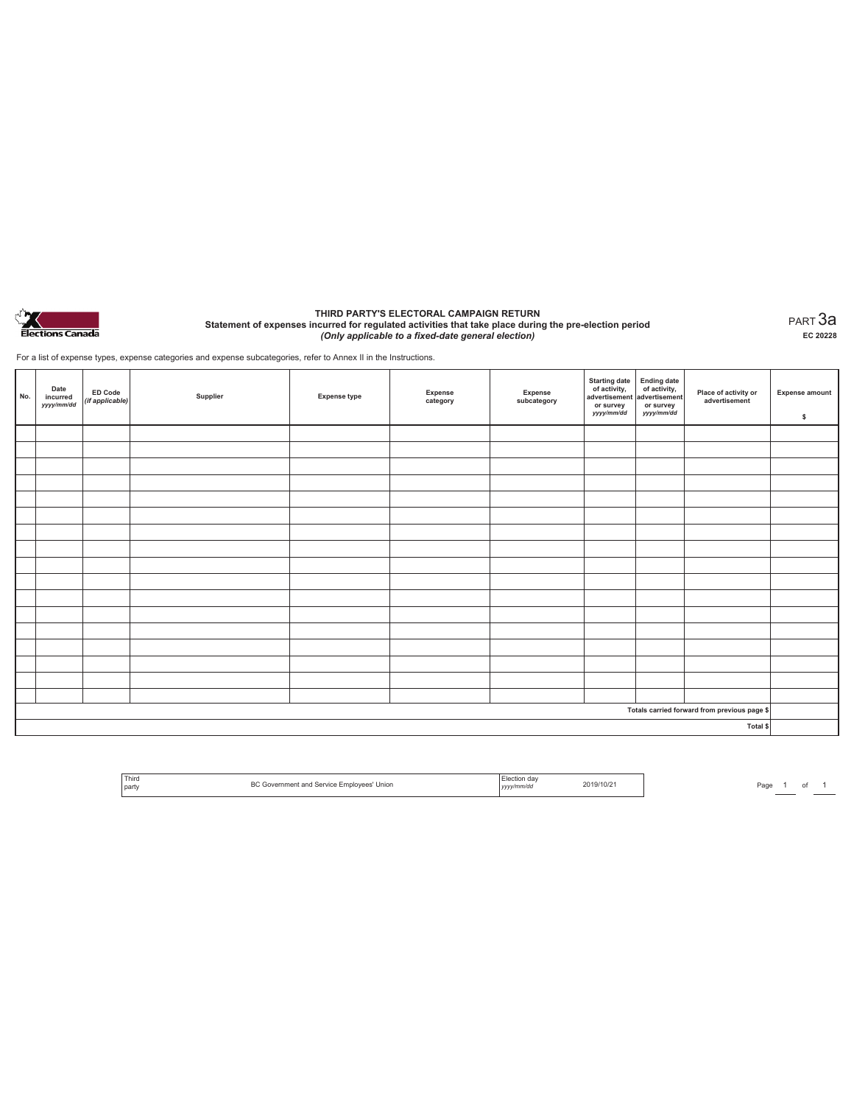

#### **THIRD PARTY'S ELECTORAL CAMPAIGN RETURN Statement of expenses incurred for regulated activities that take place during the pre-election period**  *(Only applicable to a fixed-date general election)*

PART 3a **EC 20228**

For a list of expense types, expense categories and expense subcategories, refer to Annex II in the Instructions.

| No. | Date<br>incurred<br>yyyy/mm/dd | ED Code<br>(if applicable) | Supplier | <b>Expense type</b> | Expense<br>category | Expense<br>subcategory | Starting date<br>of activity,<br>advertisement<br>advertisement<br>dvertisement<br>dvertisement<br>dvertisement<br>dvertisement<br>dvertisement<br>dvertisement<br>dvertisement<br>dvertisement<br>dvertisement<br>dvertisement<br>dvertisement<br>dvertisem<br>or survey<br>yyyy/mm/dd | or survey<br>yyyy/mm/dd | Place of activity or<br>advertisement        | <b>Expense amount</b><br>\$ |
|-----|--------------------------------|----------------------------|----------|---------------------|---------------------|------------------------|-----------------------------------------------------------------------------------------------------------------------------------------------------------------------------------------------------------------------------------------------------------------------------------------|-------------------------|----------------------------------------------|-----------------------------|
|     |                                |                            |          |                     |                     |                        |                                                                                                                                                                                                                                                                                         |                         |                                              |                             |
|     |                                |                            |          |                     |                     |                        |                                                                                                                                                                                                                                                                                         |                         |                                              |                             |
|     |                                |                            |          |                     |                     |                        |                                                                                                                                                                                                                                                                                         |                         |                                              |                             |
|     |                                |                            |          |                     |                     |                        |                                                                                                                                                                                                                                                                                         |                         |                                              |                             |
|     |                                |                            |          |                     |                     |                        |                                                                                                                                                                                                                                                                                         |                         |                                              |                             |
|     |                                |                            |          |                     |                     |                        |                                                                                                                                                                                                                                                                                         |                         |                                              |                             |
|     |                                |                            |          |                     |                     |                        |                                                                                                                                                                                                                                                                                         |                         |                                              |                             |
|     |                                |                            |          |                     |                     |                        |                                                                                                                                                                                                                                                                                         |                         |                                              |                             |
|     |                                |                            |          |                     |                     |                        |                                                                                                                                                                                                                                                                                         |                         |                                              |                             |
|     |                                |                            |          |                     |                     |                        |                                                                                                                                                                                                                                                                                         |                         |                                              |                             |
|     |                                |                            |          |                     |                     |                        |                                                                                                                                                                                                                                                                                         |                         |                                              |                             |
|     |                                |                            |          |                     |                     |                        |                                                                                                                                                                                                                                                                                         |                         |                                              |                             |
|     |                                |                            |          |                     |                     |                        |                                                                                                                                                                                                                                                                                         |                         |                                              |                             |
|     |                                |                            |          |                     |                     |                        |                                                                                                                                                                                                                                                                                         |                         |                                              |                             |
|     |                                |                            |          |                     |                     |                        |                                                                                                                                                                                                                                                                                         |                         |                                              |                             |
|     |                                |                            |          |                     |                     |                        |                                                                                                                                                                                                                                                                                         |                         |                                              |                             |
|     |                                |                            |          |                     |                     |                        |                                                                                                                                                                                                                                                                                         |                         |                                              |                             |
|     |                                |                            |          |                     |                     |                        |                                                                                                                                                                                                                                                                                         |                         | Totals carried forward from previous page \$ |                             |
|     |                                |                            |          |                     |                     |                        |                                                                                                                                                                                                                                                                                         |                         | Total \$                                     |                             |

| ' Third<br>Union<br>I Service Employees'<br>and<br><b>Primer</b><br>l partv | ∟lection dav<br>vv/mm/da | 2019/10/21 |
|-----------------------------------------------------------------------------|--------------------------|------------|
|-----------------------------------------------------------------------------|--------------------------|------------|

Page  $\frac{1}{\phantom{1}}$  of  $\frac{1}{\phantom{1}}$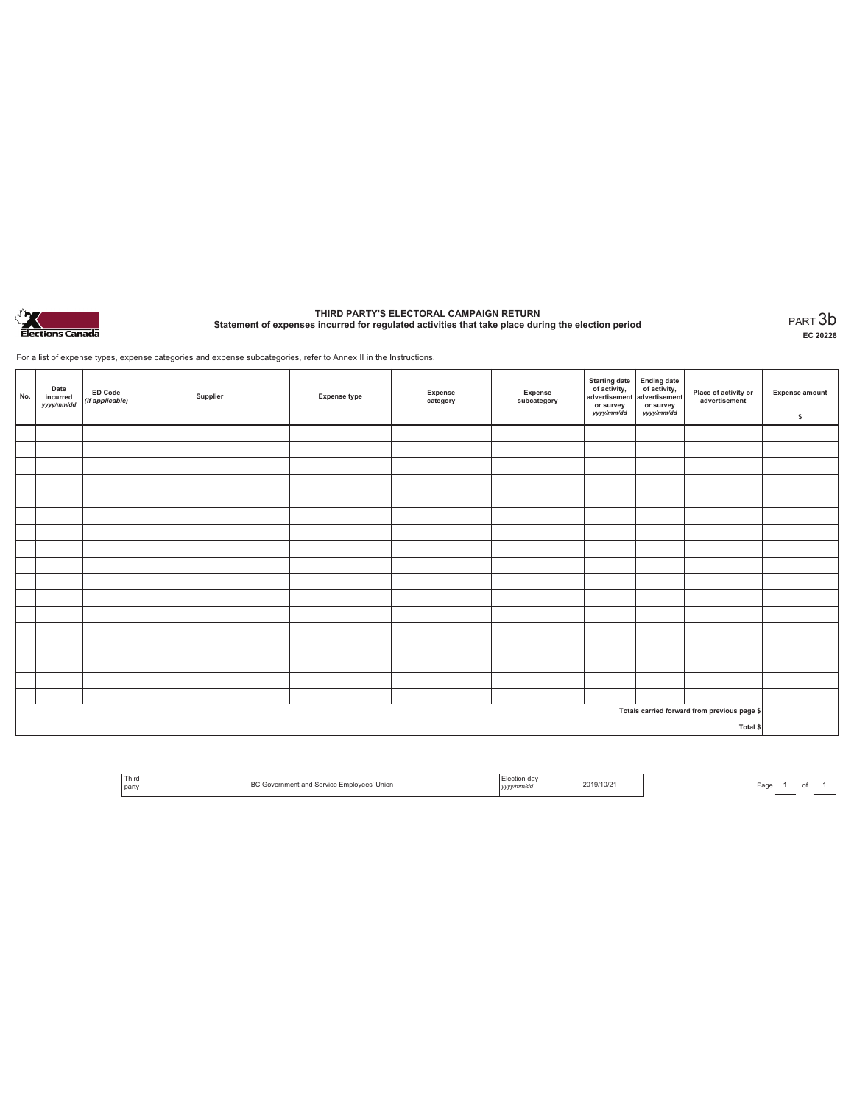

# **THIRD PARTY'S ELECTORAL CAMPAIGN RETURN Statement of expenses incurred for regulated activities that take place during the election period** PART 3b

**EC 20228**

For a list of expense types, expense categories and expense subcategories, refer to Annex II in the Instructions.

| No.                                          | Date<br>incurred<br>yyyy/mm/dd | <b>ED Code</b><br>(if applicable) | Supplier | <b>Expense type</b> | Expense<br>category | Expense<br>subcategory | Starting date<br>of activity,<br>advertisement<br>or survey<br>yyyy/mm/dd | Ending date<br>of activity,<br>advertisement<br>or survey<br>yyyy/mm/dd | Place of activity or<br>advertisement | <b>Expense amount</b><br>\$ |
|----------------------------------------------|--------------------------------|-----------------------------------|----------|---------------------|---------------------|------------------------|---------------------------------------------------------------------------|-------------------------------------------------------------------------|---------------------------------------|-----------------------------|
|                                              |                                |                                   |          |                     |                     |                        |                                                                           |                                                                         |                                       |                             |
|                                              |                                |                                   |          |                     |                     |                        |                                                                           |                                                                         |                                       |                             |
|                                              |                                |                                   |          |                     |                     |                        |                                                                           |                                                                         |                                       |                             |
|                                              |                                |                                   |          |                     |                     |                        |                                                                           |                                                                         |                                       |                             |
|                                              |                                |                                   |          |                     |                     |                        |                                                                           |                                                                         |                                       |                             |
|                                              |                                |                                   |          |                     |                     |                        |                                                                           |                                                                         |                                       |                             |
|                                              |                                |                                   |          |                     |                     |                        |                                                                           |                                                                         |                                       |                             |
|                                              |                                |                                   |          |                     |                     |                        |                                                                           |                                                                         |                                       |                             |
|                                              |                                |                                   |          |                     |                     |                        |                                                                           |                                                                         |                                       |                             |
|                                              |                                |                                   |          |                     |                     |                        |                                                                           |                                                                         |                                       |                             |
|                                              |                                |                                   |          |                     |                     |                        |                                                                           |                                                                         |                                       |                             |
|                                              |                                |                                   |          |                     |                     |                        |                                                                           |                                                                         |                                       |                             |
|                                              |                                |                                   |          |                     |                     |                        |                                                                           |                                                                         |                                       |                             |
|                                              |                                |                                   |          |                     |                     |                        |                                                                           |                                                                         |                                       |                             |
|                                              |                                |                                   |          |                     |                     |                        |                                                                           |                                                                         |                                       |                             |
|                                              |                                |                                   |          |                     |                     |                        |                                                                           |                                                                         |                                       |                             |
|                                              |                                |                                   |          |                     |                     |                        |                                                                           |                                                                         |                                       |                             |
| Totals carried forward from previous page \$ |                                |                                   |          |                     |                     |                        |                                                                           |                                                                         |                                       |                             |
| Total \$                                     |                                |                                   |          |                     |                     |                        |                                                                           |                                                                         |                                       |                             |

| Third<br>party | $\sim$<br>Union<br>Fmnlov<br>lovees<br>vice | $\mathbf{u}$<br>v/mm/dc<br>,,,,, | 2019/10/2 |
|----------------|---------------------------------------------|----------------------------------|-----------|
|                |                                             |                                  |           |

Page  $1$  of  $1$